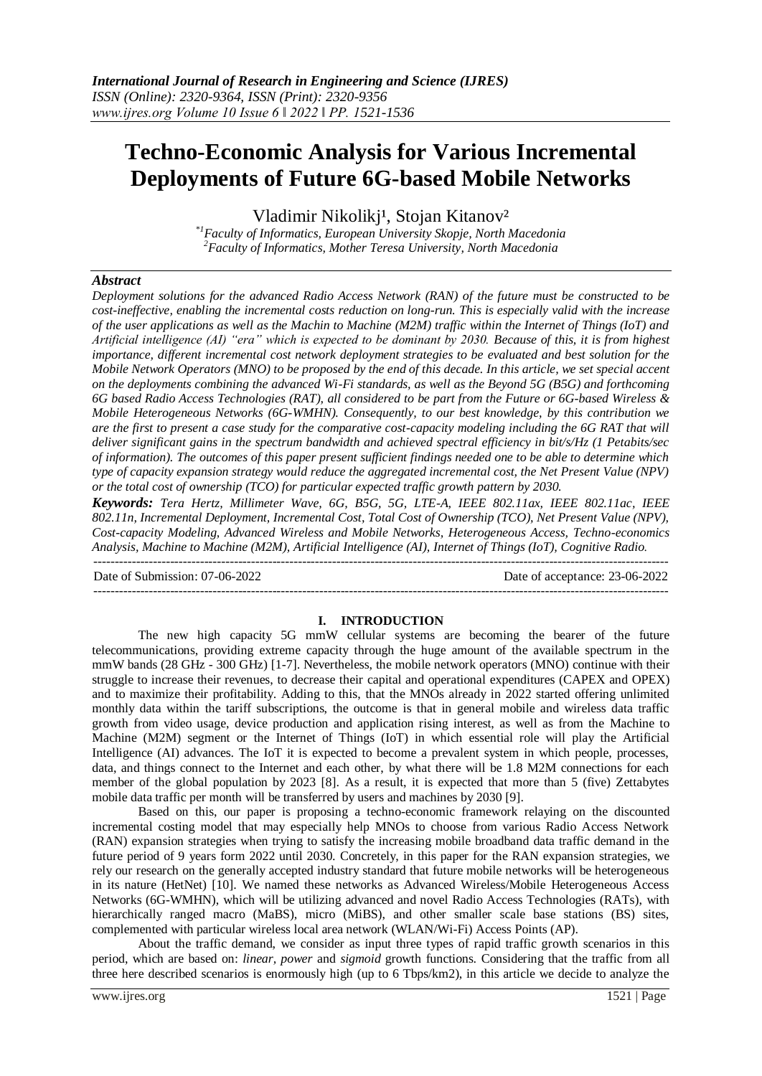# **Techno-Economic Analysis for Various Incremental Deployments of Future 6G-based Mobile Networks**

Vladimir Nikolikj<sup>1</sup>, Stojan Kitanov<sup>2</sup>

*\*1Faculty of Informatics, European University Skopje, North Macedonia <sup>2</sup>Faculty of Informatics, Mother Teresa University, North Macedonia*

## *Abstract*

*Deployment solutions for the advanced Radio Access Network (RAN) of the future must be constructed to be cost-ineffective, enabling the incremental costs reduction on long-run. This is especially valid with the increase of the user applications as well as the Machin to Machine (M2M) traffic within the Internet of Things (IoT) and Artificial intelligence (AI) "era" which is expected to be dominant by 2030. Because of this, it is from highest importance, different incremental cost network deployment strategies to be evaluated and best solution for the Mobile Network Operators (MNO) to be proposed by the end of this decade. In this article, we set special accent on the deployments combining the advanced Wi-Fi standards, as well as the Beyond 5G (B5G) and forthcoming 6G based Radio Access Technologies (RAT), all considered to be part from the Future or 6G-based Wireless & Mobile Heterogeneous Networks (6G-WMHN). Consequently, to our best knowledge, by this contribution we are the first to present a case study for the comparative cost-capacity modeling including the 6G RAT that will deliver significant gains in the spectrum bandwidth and achieved spectral efficiency in bit/s/Hz (1 Petabits/sec of information). The outcomes of this paper present sufficient findings needed one to be able to determine which type of capacity expansion strategy would reduce the aggregated incremental cost, the Net Present Value (NPV) or the total cost of ownership (TCO) for particular expected traffic growth pattern by 2030.*

*Keywords: Tera Hertz, Millimeter Wave, 6G, B5G, 5G, LTE-A, IEEE 802.11ax, IEEE 802.11ac, IEEE 802.11n, Incremental Deployment, Incremental Cost, Total Cost of Ownership (TCO), Net Present Value (NPV), Cost-capacity Modeling, Advanced Wireless and Mobile Networks, Heterogeneous Access, Techno-economics Analysis, Machine to Machine (M2M), Artificial Intelligence (AI), Internet of Things (IoT), Cognitive Radio.* ---------------------------------------------------------------------------------------------------------------------------------------

---------------------------------------------------------------------------------------------------------------------------------------

Date of Submission: 07-06-2022 Date of acceptance: 23-06-2022

## **I. INTRODUCTION**

The new high capacity 5G mmW cellular systems are becoming the bearer of the future telecommunications, providing extreme capacity through the huge amount of the available spectrum in the mmW bands (28 GHz - 300 GHz) [1-7]. Nevertheless, the mobile network operators (MNO) continue with their struggle to increase their revenues, to decrease their capital and operational expenditures (CAPEX and OPEX) and to maximize their profitability. Adding to this, that the MNOs already in 2022 started offering unlimited monthly data within the tariff subscriptions, the outcome is that in general mobile and wireless data traffic growth from video usage, device production and application rising interest, as well as from the Machine to Machine (M2M) segment or the Internet of Things (IoT) in which essential role will play the Artificial Intelligence (AI) advances. The IoT it is expected to become a prevalent system in which people, processes, data, and things connect to the Internet and each other, by what there will be 1.8 M2M connections for each member of the global population by 2023 [8]. As a result, it is expected that more than 5 (five) Zettabytes mobile data traffic per month will be transferred by users and machines by 2030 [9].

Based on this, our paper is proposing a techno-economic framework relaying on the discounted incremental costing model that may especially help MNOs to choose from various Radio Access Network (RAN) expansion strategies when trying to satisfy the increasing mobile broadband data traffic demand in the future period of 9 years form 2022 until 2030. Concretely, in this paper for the RAN expansion strategies, we rely our research on the generally accepted industry standard that future mobile networks will be heterogeneous in its nature (HetNet) [10]. We named these networks as Advanced Wireless/Mobile Heterogeneous Access Networks (6G-WMHN), which will be utilizing advanced and novel Radio Access Technologies (RATs), with hierarchically ranged macro (MaBS), micro (MiBS), and other smaller scale base stations (BS) sites, complemented with particular wireless local area network (WLAN/Wi-Fi) Access Points (AP).

About the traffic demand, we consider as input three types of rapid traffic growth scenarios in this period, which are based on: *linear, power* and *sigmoid* growth functions. Considering that the traffic from all three here described scenarios is enormously high (up to 6 Tbps/km2), in this article we decide to analyze the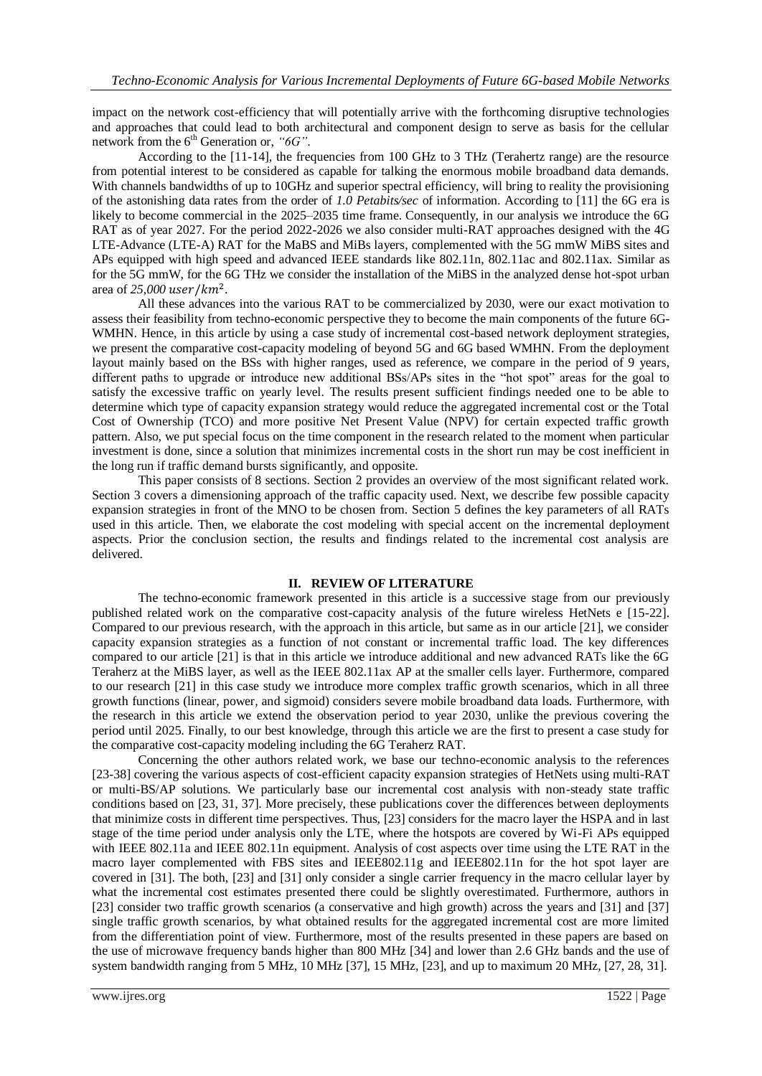impact on the network cost-efficiency that will potentially arrive with the forthcoming disruptive technologies and approaches that could lead to both architectural and component design to serve as basis for the cellular network from the 6<sup>th</sup> Generation or, "6G".

According to the [11-14], the frequencies from 100 GHz to 3 THz (Terahertz range) are the resource from potential interest to be considered as capable for talking the enormous mobile broadband data demands. With channels bandwidths of up to 10GHz and superior spectral efficiency, will bring to reality the provisioning of the astonishing data rates from the order of *1.0 Petabits/sec* of information. According to [11] the 6G era is likely to become commercial in the 2025–2035 time frame. Consequently, in our analysis we introduce the 6G RAT as of year 2027. For the period 2022-2026 we also consider multi-RAT approaches designed with the 4G LTE-Advance (LTE-A) RAT for the MaBS and MiBs layers, complemented with the 5G mmW MiBS sites and APs equipped with high speed and advanced IEEE standards like 802.11n, 802.11ac and 802.11ax. Similar as for the 5G mmW, for the 6G THz we consider the installation of the MiBS in the analyzed dense hot-spot urban area of *25,000* .

All these advances into the various RAT to be commercialized by 2030, were our exact motivation to assess their feasibility from techno-economic perspective they to become the main components of the future 6G-WMHN. Hence, in this article by using a case study of incremental cost-based network deployment strategies, we present the comparative cost-capacity modeling of beyond 5G and 6G based WMHN. From the deployment layout mainly based on the BSs with higher ranges, used as reference, we compare in the period of 9 years, different paths to upgrade or introduce new additional BSs/APs sites in the "hot spot" areas for the goal to satisfy the excessive traffic on yearly level. The results present sufficient findings needed one to be able to determine which type of capacity expansion strategy would reduce the aggregated incremental cost or the Total Cost of Ownership (TCO) and more positive Net Present Value (NPV) for certain expected traffic growth pattern. Also, we put special focus on the time component in the research related to the moment when particular investment is done, since a solution that minimizes incremental costs in the short run may be cost inefficient in the long run if traffic demand bursts significantly, and opposite.

This paper consists of 8 sections. Section 2 provides an overview of the most significant related work. Section 3 covers a dimensioning approach of the traffic capacity used. Next, we describe few possible capacity expansion strategies in front of the MNO to be chosen from. Section 5 defines the key parameters of all RATs used in this article. Then, we elaborate the cost modeling with special accent on the incremental deployment aspects. Prior the conclusion section, the results and findings related to the incremental cost analysis are delivered.

#### **II. REVIEW OF LITERATURE**

The techno-economic framework presented in this article is a successive stage from our previously published related work on the comparative cost-capacity analysis of the future wireless HetNets e [15-22]. Compared to our previous research, with the approach in this article, but same as in our article [21], we consider capacity expansion strategies as a function of not constant or incremental traffic load. The key differences compared to our article [21] is that in this article we introduce additional and new advanced RATs like the 6G Teraherz at the MiBS layer, as well as the IEEE 802.11ax AP at the smaller cells layer. Furthermore, compared to our research [21] in this case study we introduce more complex traffic growth scenarios, which in all three growth functions (linear, power, and sigmoid) considers severe mobile broadband data loads. Furthermore, with the research in this article we extend the observation period to year 2030, unlike the previous covering the period until 2025. Finally, to our best knowledge, through this article we are the first to present a case study for the comparative cost-capacity modeling including the 6G Teraherz RAT.

Concerning the other authors related work, we base our techno-economic analysis to the references [23-38] covering the various aspects of cost-efficient capacity expansion strategies of HetNets using multi-RAT or multi-BS/AP solutions. We particularly base our incremental cost analysis with non-steady state traffic conditions based on [23, 31, 37]. More precisely, these publications cover the differences between deployments that minimize costs in different time perspectives. Thus, [23] considers for the macro layer the HSPA and in last stage of the time period under analysis only the LTE, where the hotspots are covered by Wi-Fi APs equipped with IEEE 802.11a and IEEE 802.11n equipment. Analysis of cost aspects over time using the LTE RAT in the macro layer complemented with FBS sites and IEEE802.11g and IEEE802.11n for the hot spot layer are covered in [31]. The both, [23] and [31] only consider a single carrier frequency in the macro cellular layer by what the incremental cost estimates presented there could be slightly overestimated. Furthermore, authors in [23] consider two traffic growth scenarios (a conservative and high growth) across the years and [31] and [37] single traffic growth scenarios, by what obtained results for the aggregated incremental cost are more limited from the differentiation point of view. Furthermore, most of the results presented in these papers are based on the use of microwave frequency bands higher than 800 MHz [34] and lower than 2.6 GHz bands and the use of system bandwidth ranging from 5 MHz, 10 MHz [37], 15 MHz, [23], and up to maximum 20 MHz, [27, 28, 31].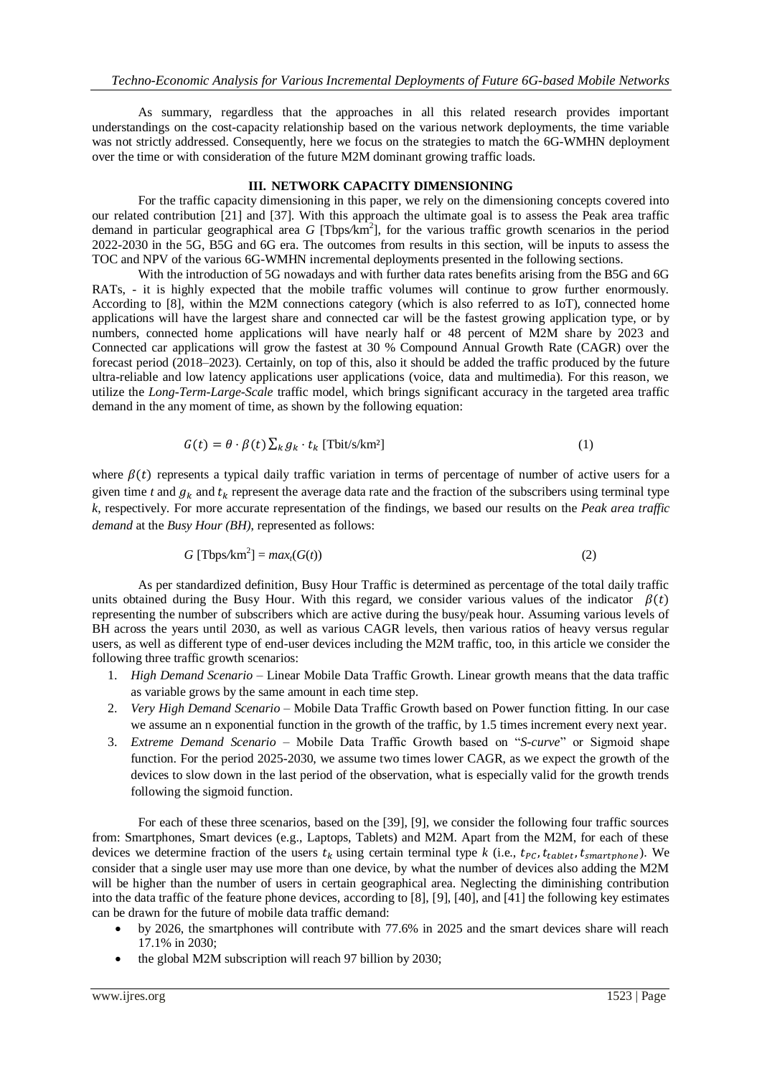As summary, regardless that the approaches in all this related research provides important understandings on the cost-capacity relationship based on the various network deployments, the time variable was not strictly addressed. Consequently, here we focus on the strategies to match the 6G-WMHN deployment over the time or with consideration of the future M2M dominant growing traffic loads.

#### **III. NETWORK CAPACITY DIMENSIONING**

For the traffic capacity dimensioning in this paper, we rely on the dimensioning concepts covered into our related contribution [21] and [37]. With this approach the ultimate goal is to assess the Peak area traffic demand in particular geographical area *G* [Tbps/km<sup>2</sup>], for the various traffic growth scenarios in the period 2022-2030 in the 5G, B5G and 6G era. The outcomes from results in this section, will be inputs to assess the TOC and NPV of the various 6G-WMHN incremental deployments presented in the following sections.

With the introduction of 5G nowadays and with further data rates benefits arising from the B5G and 6G RATs, - it is highly expected that the mobile traffic volumes will continue to grow further enormously. According to [8], within the M2M connections category (which is also referred to as IoT), connected home applications will have the largest share and connected car will be the fastest growing application type, or by numbers, connected home applications will have nearly half or 48 percent of M2M share by 2023 and Connected car applications will grow the fastest at 30 % Compound Annual Growth Rate (CAGR) over the forecast period (2018–2023). Certainly, on top of this, also it should be added the traffic produced by the future ultra-reliable and low latency applications user applications (voice, data and multimedia). For this reason, we utilize the *Long-Term-Large-Scale* traffic model, which brings significant accuracy in the targeted area traffic demand in the any moment of time, as shown by the following equation:

$$
G(t) = \theta \cdot \beta(t) \sum_{k} g_k \cdot t_k \text{ [Tbit/s/km2]}
$$
 (1)

where  $\beta(t)$  represents a typical daily traffic variation in terms of percentage of number of active users for a given time *t* and  $g_k$  and  $t_k$  represent the average data rate and the fraction of the subscribers using terminal type *k*, respectively. For more accurate representation of the findings, we based our results on the *Peak area traffic demand* at the *Busy Hour (BH)*, represented as follows:

$$
G \left[ \text{Tbps/km}^2 \right] = \max_l (G(t)) \tag{2}
$$

As per standardized definition, Busy Hour Traffic is determined as percentage of the total daily traffic units obtained during the Busy Hour. With this regard, we consider various values of the indicator  $\beta(t)$ representing the number of subscribers which are active during the busy/peak hour. Assuming various levels of BH across the years until 2030, as well as various CAGR levels, then various ratios of heavy versus regular users, as well as different type of end-user devices including the M2M traffic, too, in this article we consider the following three traffic growth scenarios:

- 1. *High Demand Scenario* Linear Mobile Data Traffic Growth. Linear growth means that the data traffic as variable grows by the same amount in each time step.
- 2. *Very High Demand Scenario* Mobile Data Traffic Growth based on Power function fitting. In our case we assume an n exponential function in the growth of the traffic, by 1.5 times increment every next year.
- 3. *Extreme Demand Scenario* Mobile Data Traffic Growth based on "*S-curve*" or Sigmoid shape function. For the period 2025-2030, we assume two times lower CAGR, as we expect the growth of the devices to slow down in the last period of the observation, what is especially valid for the growth trends following the sigmoid function.

For each of these three scenarios, based on the [39], [9], we consider the following four traffic sources from: Smartphones, Smart devices (e.g., Laptops, Tablets) and M2M. Apart from the M2M, for each of these devices we determine fraction of the users  $t_k$  using certain terminal type *k* (i.e.,  $t_{pc}$ ,  $t_{table}$ ,  $t_{smartphone}$ ). We consider that a single user may use more than one device, by what the number of devices also adding the M2M will be higher than the number of users in certain geographical area. Neglecting the diminishing contribution into the data traffic of the feature phone devices, according to [8], [9], [40], and [41] the following key estimates can be drawn for the future of mobile data traffic demand:

- by 2026, the smartphones will contribute with 77.6% in 2025 and the smart devices share will reach 17.1% in 2030;
- the global M2M subscription will reach 97 billion by 2030;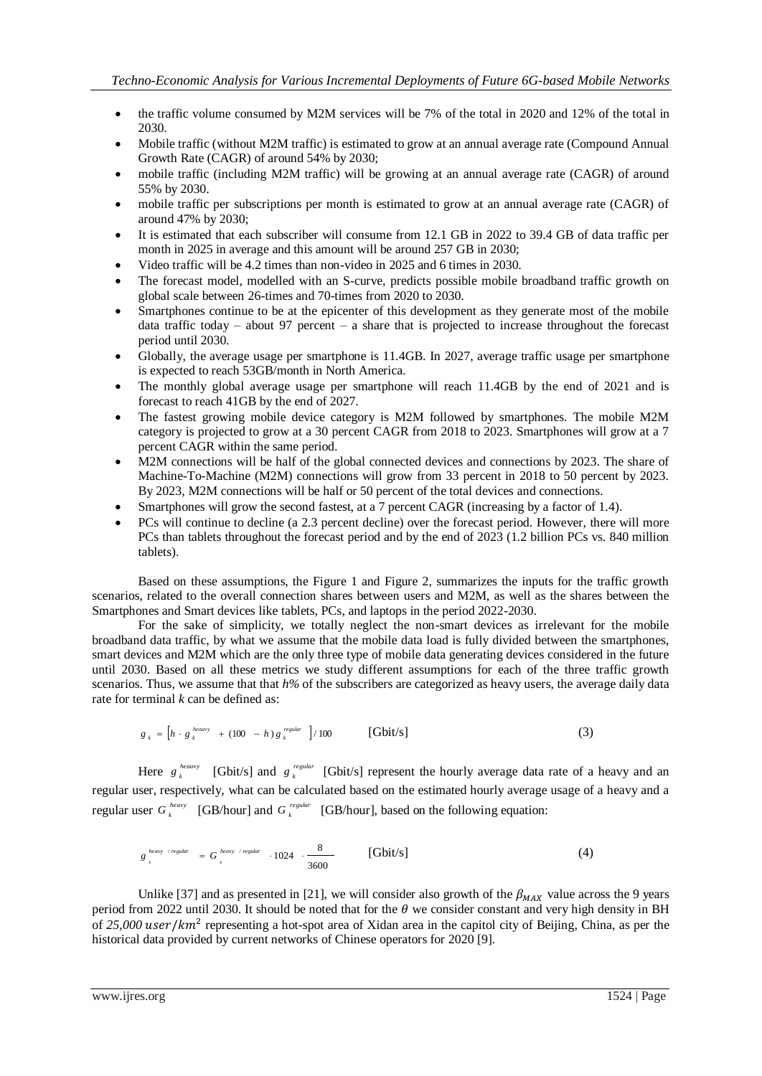- the traffic volume consumed by M2M services will be 7% of the total in 2020 and 12% of the total in 2030.
- Mobile traffic (without M2M traffic) is estimated to grow at an annual average rate (Compound Annual Growth Rate (CAGR) of around 54% by 2030;
- mobile traffic (including M2M traffic) will be growing at an annual average rate (CAGR) of around 55% by 2030.
- mobile traffic per subscriptions per month is estimated to grow at an annual average rate (CAGR) of around 47% by 2030;
- It is estimated that each subscriber will consume from 12.1 GB in 2022 to 39.4 GB of data traffic per month in 2025 in average and this amount will be around 257 GB in 2030;
- Video traffic will be 4.2 times than non-video in 2025 and 6 times in 2030.
- The forecast model, modelled with an S-curve, predicts possible mobile broadband traffic growth on global scale between 26-times and 70-times from 2020 to 2030.
- Smartphones continue to be at the epicenter of this development as they generate most of the mobile data traffic today – about 97 percent – a share that is projected to increase throughout the forecast period until 2030.
- Globally, the average usage per smartphone is 11.4GB. In 2027, average traffic usage per smartphone is expected to reach 53GB/month in North America.
- The monthly global average usage per smartphone will reach 11.4GB by the end of 2021 and is forecast to reach 41GB by the end of 2027.
- The fastest growing mobile device category is M2M followed by smartphones. The mobile M2M category is projected to grow at a 30 percent CAGR from 2018 to 2023. Smartphones will grow at a 7 percent CAGR within the same period.
- M2M connections will be half of the global connected devices and connections by 2023. The share of Machine-To-Machine (M2M) connections will grow from 33 percent in 2018 to 50 percent by 2023. By 2023, M2M connections will be half or 50 percent of the total devices and connections.
- Smartphones will grow the second fastest, at a 7 percent CAGR (increasing by a factor of 1.4).
- PCs will continue to decline (a 2.3 percent decline) over the forecast period. However, there will more PCs than tablets throughout the forecast period and by the end of 2023 (1.2 billion PCs vs. 840 million tablets).

Based on these assumptions, the Figure 1 and Figure 2, summarizes the inputs for the traffic growth scenarios, related to the overall connection shares between users and M2M, as well as the shares between the Smartphones and Smart devices like tablets, PCs, and laptops in the period 2022-2030.

For the sake of simplicity, we totally neglect the non-smart devices as irrelevant for the mobile broadband data traffic, by what we assume that the mobile data load is fully divided between the smartphones, smart devices and M2M which are the only three type of mobile data generating devices considered in the future until 2030. Based on all these metrics we study different assumptions for each of the three traffic growth scenarios. Thus, we assume that that *h%* of the subscribers are categorized as heavy users, the average daily data rate for terminal *k* can be defined as:

$$
g_{k} = \left[ h \cdot g_{k}^{\text{heavy}} + (100 - h) g_{k}^{\text{regular}} \right] / 100 \qquad \text{[Gbit/s]}
$$
 (3)

Here  $g_k^{heavy}$  $g_k^{heavy}$  [Gbit/s] and  $g_k^{regular}$ *g*<sup>regular</sup> [Gbit/s] represent the hourly average data rate of a heavy and an regular user, respectively, what can be calculated based on the estimated hourly average usage of a heavy and a regular user  $G_k^{heavy}$  [GB/hour] and  $G_k^{regular}$  [GB/hour], based on the following equation:

$$
g_{\n\begin{array}{cc}\n\end{array}}^{\n\text{heavy / regular}} = G_{\n\begin{array}{cc}\n\end{array}}^{\n\text{heavy / regular}} \cdot 1024 \cdot \frac{8}{3600} \qquad \text{[Gbit/s]} \tag{4}
$$

Unlike [37] and as presented in [21], we will consider also growth of the  $\beta_{MAX}$  value across the 9 years period from 2022 until 2030. It should be noted that for the  $\theta$  we consider constant and very high density in BH of 25,000 user/km<sup>2</sup> representing a hot-spot area of Xidan area in the capitol city of Beijing, China, as per the historical data provided by current networks of Chinese operators for 2020 [9].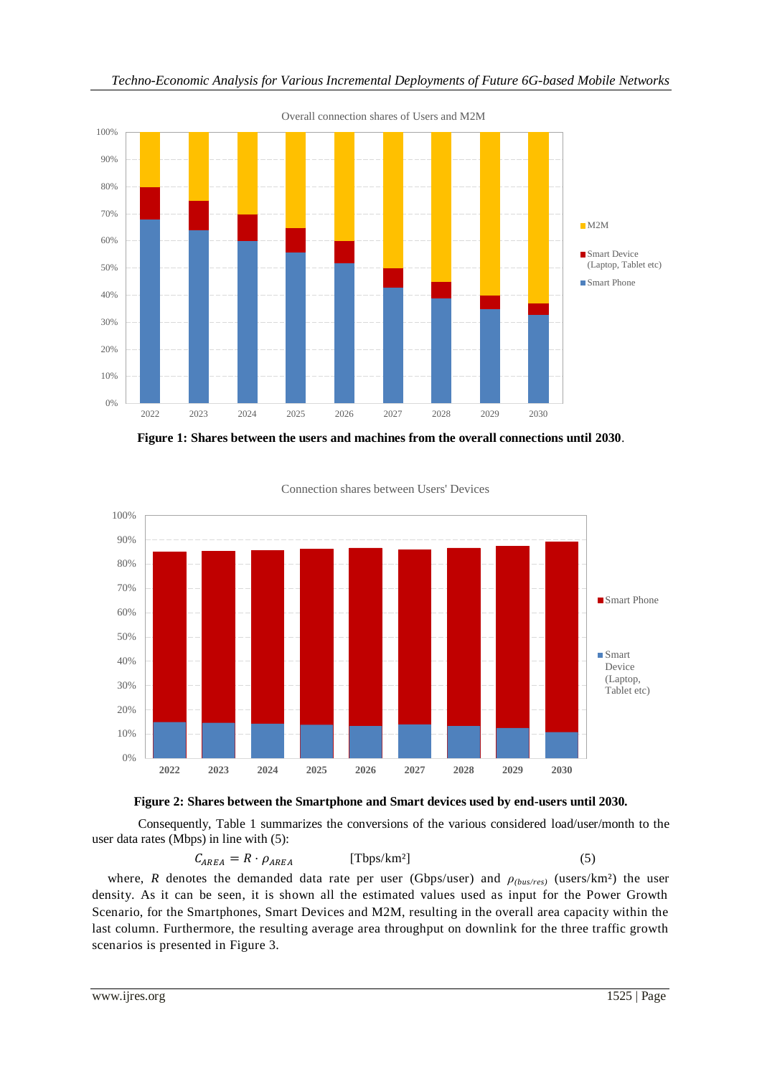

**Figure 1: Shares between the users and machines from the overall connections until 2030**.



Connection shares between Users' Devices



Consequently, Table 1 summarizes the conversions of the various considered load/user/month to the user data rates (Mbps) in line with (5):

$$
C_{AREA} = R \cdot \rho_{AREA} \qquad \qquad [\text{Tbps/km}^2] \tag{5}
$$

where, *R* denotes the demanded data rate per user (Gbps/user) and  $\rho$ <sub>(bus/res)</sub> (users/km<sup>2</sup>) the user density. As it can be seen, it is shown all the estimated values used as input for the Power Growth Scenario, for the Smartphones, Smart Devices and M2M, resulting in the overall area capacity within the last column. Furthermore, the resulting average area throughput on downlink for the three traffic growth scenarios is presented in Figure 3.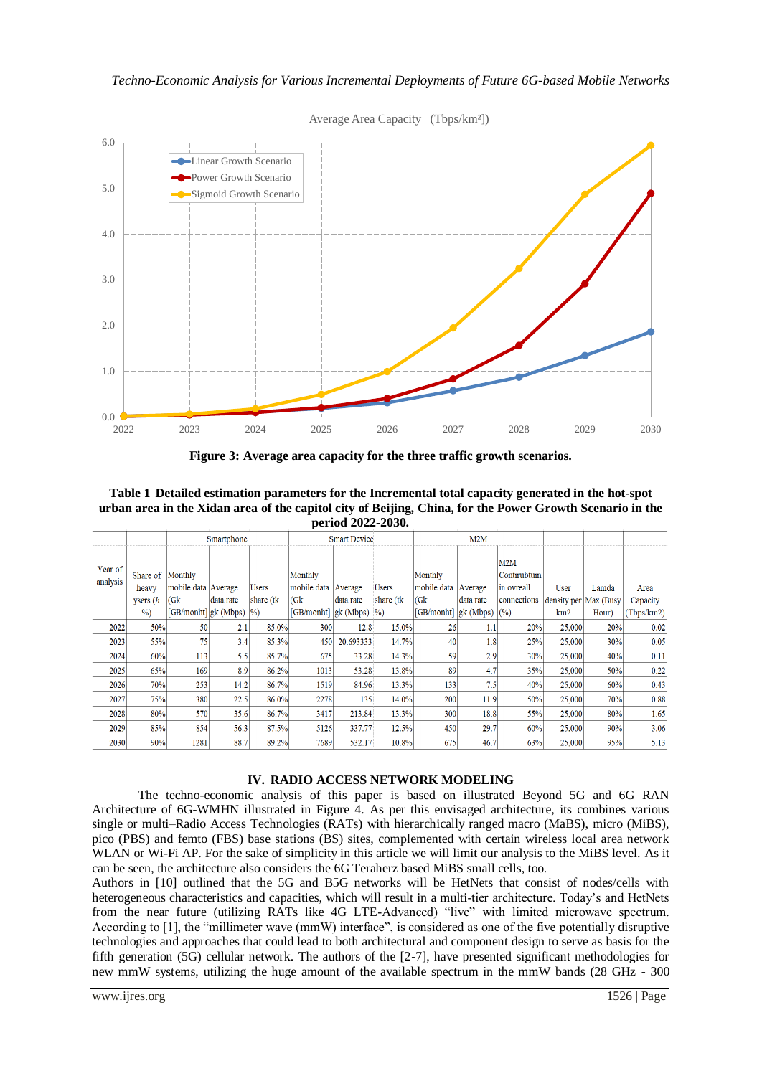

Average Area Capacity (Tbps/km²])

**Figure 3: Average area capacity for the three traffic growth scenarios.**

**Table 1 Detailed estimation parameters for the Incremental total capacity generated in the hot-spot urban area in the Xidan area of the capitol city of Beijing, China, for the Power Growth Scenario in the period 2022-2030.**

|                     |                  |                                   | Smartphone |               |                         | <b>Smart Device</b> |               | M2M                     |           |                     |                         |       |            |
|---------------------|------------------|-----------------------------------|------------|---------------|-------------------------|---------------------|---------------|-------------------------|-----------|---------------------|-------------------------|-------|------------|
| Year of<br>analysis | Share of Monthly |                                   |            |               | Monthly                 |                     |               | Monthly                 |           | M2M<br>Contirubtuin |                         |       |            |
|                     | heavy            | mobile data Average               |            | Users         | mobile data Average     |                     | <b>Users</b>  | mobile data   Average   |           | in ovreall          | User                    | Lamda | Area       |
|                     | $y$ sers ( $h$   | (Gk)                              | data rate  | share (tk)    | (Gk)                    | data rate           | share (tk     | (Gk)                    | data rate | connections         | density per   Max (Busy |       | Capacity   |
|                     | $\%$             | $[GB/monht]$ <sub>gk</sub> (Mbps) |            | $\frac{9}{0}$ | [GB/monht] $g_k$ (Mbps) |                     | $\frac{0}{0}$ | [GB/monht] $g_k$ (Mbps) |           | (%)                 | km2                     | Hour) | (Tbps/km2) |
| 2022                | 50%              | 50                                | 2.1        | 85.0%         | 300                     | 12.8                | 15.0%         | 26                      | 1.1       | 20%                 | 25,000                  | 20%   | 0.02       |
| 2023                | 55%              | 75                                | 3.4        | 85.3%         | 450                     | 20.693333           | 14.7%         | 40                      | 1.8       | 25%                 | 25,000                  | 30%   | 0.05       |
| 2024                | 60%              | 113                               | 5.5        | 85.7%         | 675                     | 33.28               | 14.3%         | 59                      | 2.9       | 30%                 | 25,000                  | 40%   | 0.11       |
| 2025                | 65%              | 169                               | 8.9        | 86.2%         | 1013                    | 53.28               | 13.8%         | 89                      | 4.7       | 35%                 | 25,000                  | 50%   | 0.22       |
| 2026                | 70%              | 253                               | 14.2       | 86.7%         | 1519                    | 84.96               | 13.3%         | 133                     | 7.5       | 40%                 | 25,000                  | 60%   | 0.43       |
| 2027                | 75%              | 380                               | 22.5       | 86.0%         | 2278                    | 135                 | 14.0%         | 200                     | 11.9      | 50%                 | 25,000                  | 70%   | 0.88       |
| 2028                | 80%              | 570                               | 35.6       | 86.7%         | 3417                    | 213.84              | 13.3%         | 300                     | 18.8      | 55%                 | 25,000                  | 80%   | 1.65       |
| 2029                | 85%              | 854                               | 56.3       | 87.5%         | 5126                    | 337.77              | 12.5%         | 450                     | 29.7      | 60%                 | 25,000                  | 90%   | 3.06       |
| 2030                | 90%              | 1281                              | 88.7       | 89.2%         | 7689                    | 532.17              | 10.8%         | 675                     | 46.7      | 63%                 | 25,000                  | 95%   | 5.13       |

## **IV. RADIO ACCESS NETWORK MODELING**

The techno-economic analysis of this paper is based on illustrated Beyond 5G and 6G RAN Architecture of 6G-WMHN illustrated in Figure 4. As per this envisaged architecture, its combines various single or multi–Radio Access Technologies (RATs) with hierarchically ranged macro (MaBS), micro (MiBS), pico (PBS) and femto (FBS) base stations (BS) sites, complemented with certain wireless local area network WLAN or Wi-Fi AP. For the sake of simplicity in this article we will limit our analysis to the MiBS level. As it can be seen, the architecture also considers the 6G Teraherz based MiBS small cells, too.

Authors in [10] outlined that the 5G and B5G networks will be HetNets that consist of nodes/cells with heterogeneous characteristics and capacities, which will result in a multi-tier architecture. Today's and HetNets from the near future (utilizing RATs like 4G LTE-Advanced) "live" with limited microwave spectrum. According to [1], the "millimeter wave (mmW) interface", is considered as one of the five potentially disruptive technologies and approaches that could lead to both architectural and component design to serve as basis for the fifth generation (5G) cellular network. The authors of the [2-7], have presented significant methodologies for new mmW systems, utilizing the huge amount of the available spectrum in the mmW bands (28 GHz - 300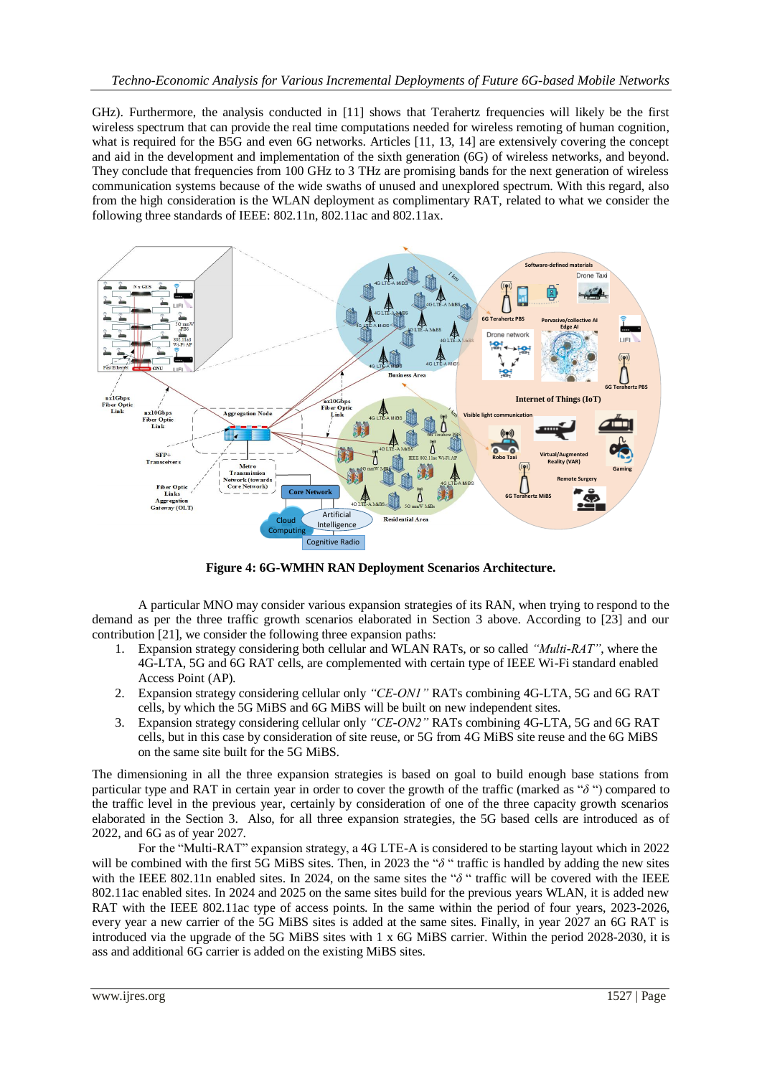GHz). Furthermore, the analysis conducted in [11] shows that Terahertz frequencies will likely be the first wireless spectrum that can provide the real time computations needed for wireless remoting of human cognition, what is required for the B5G and even 6G networks. Articles [11, 13, 14] are extensively covering the concept and aid in the development and implementation of the sixth generation (6G) of wireless networks, and beyond. They conclude that frequencies from 100 GHz to 3 THz are promising bands for the next generation of wireless communication systems because of the wide swaths of unused and unexplored spectrum. With this regard, also from the high consideration is the WLAN deployment as complimentary RAT, related to what we consider the following three standards of IEEE: 802.11n, 802.11ac and 802.11ax.



**Figure 4: 6G-WMHN RAN Deployment Scenarios Architecture.**

A particular MNO may consider various expansion strategies of its RAN, when trying to respond to the demand as per the three traffic growth scenarios elaborated in Section 3 above. According to [23] and our contribution [21], we consider the following three expansion paths:

- 1. Expansion strategy considering both cellular and WLAN RATs, or so called *"Multi-RAT"*, where the 4G-LTA, 5G and 6G RAT cells, are complemented with certain type of IEEE Wi-Fi standard enabled Access Point (AP).
- 2. Expansion strategy considering cellular only *"CE-ON1"* RATs combining 4G-LTA, 5G and 6G RAT cells, by which the 5G MiBS and 6G MiBS will be built on new independent sites.
- 3. Expansion strategy considering cellular only *"CE-ON2"* RATs combining 4G-LTA, 5G and 6G RAT cells, but in this case by consideration of site reuse, or 5G from 4G MiBS site reuse and the 6G MiBS on the same site built for the 5G MiBS.

The dimensioning in all the three expansion strategies is based on goal to build enough base stations from particular type and RAT in certain year in order to cover the growth of the traffic (marked as " $\delta$ ") compared to the traffic level in the previous year, certainly by consideration of one of the three capacity growth scenarios elaborated in the Section 3. Also, for all three expansion strategies, the 5G based cells are introduced as of 2022, and 6G as of year 2027.

For the "Multi-RAT" expansion strategy, a 4G LTE-A is considered to be starting layout which in 2022 will be combined with the first 5G MiBS sites. Then, in 2023 the " $\delta$ " traffic is handled by adding the new sites with the IEEE 802.11n enabled sites. In 2024, on the same sites the " $\delta$ " traffic will be covered with the IEEE 802.11ac enabled sites. In 2024 and 2025 on the same sites build for the previous years WLAN, it is added new RAT with the IEEE 802.11ac type of access points. In the same within the period of four years, 2023-2026, every year a new carrier of the 5G MiBS sites is added at the same sites. Finally, in year 2027 an 6G RAT is introduced via the upgrade of the 5G MiBS sites with 1 x 6G MiBS carrier. Within the period 2028-2030, it is ass and additional 6G carrier is added on the existing MiBS sites.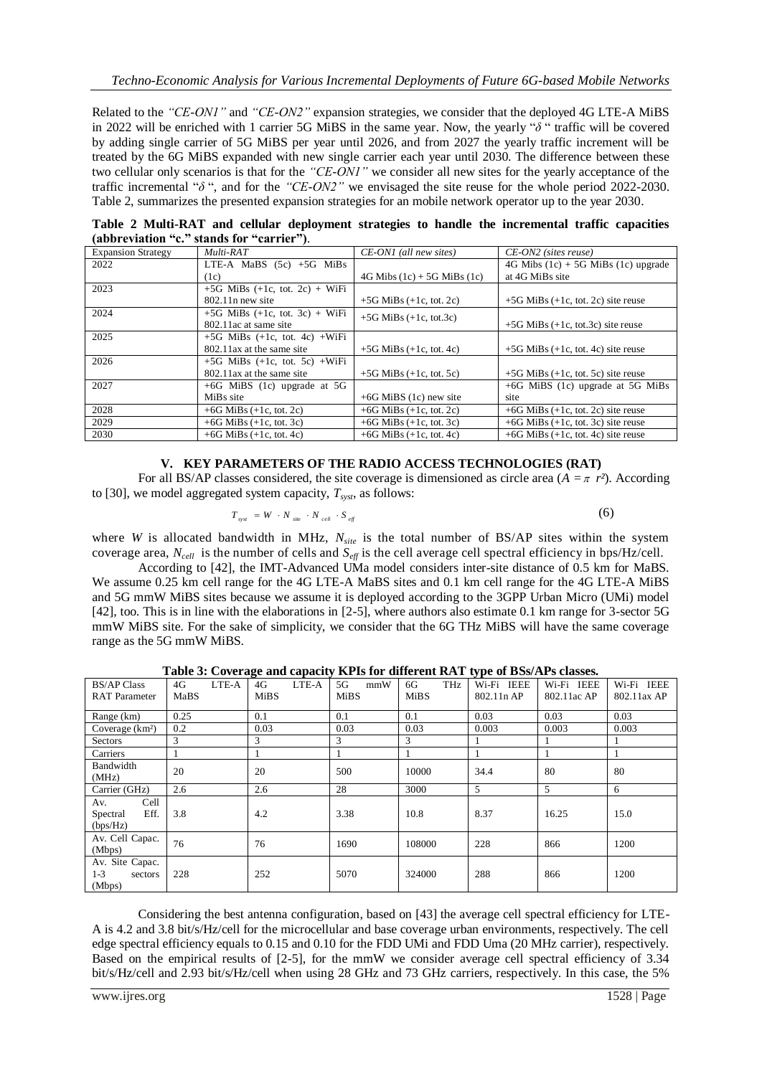Related to the *"CE-ON1"* and *"CE-ON2"* expansion strategies, we consider that the deployed 4G LTE-A MiBS in 2022 will be enriched with 1 carrier 5G MiBS in the same year. Now, the yearly " $\delta$ " traffic will be covered by adding single carrier of 5G MiBS per year until 2026, and from 2027 the yearly traffic increment will be treated by the 6G MiBS expanded with new single carrier each year until 2030. The difference between these two cellular only scenarios is that for the *"CE-ON1"* we consider all new sites for the yearly acceptance of the traffic incremental " $\delta$ ", and for the "CE-ON2" we envisaged the site reuse for the whole period 2022-2030. Table 2, summarizes the presented expansion strategies for an mobile network operator up to the year 2030.

**Table 2 Multi-RAT and cellular deployment strategies to handle the incremental traffic capacities (abbreviation "c." stands for "carrier")**.

| <b>Expansion Strategy</b> | Multi-RAT                          | CE-ON1 (all new sites)              | $CE$ -ON2 (sites reuse)                 |
|---------------------------|------------------------------------|-------------------------------------|-----------------------------------------|
| 2022                      | LTE-A MaBS $(5c) +5G$ MiBs         |                                     | 4G Mibs $(1c) + 5G$ MiBs $(1c)$ upgrade |
|                           | (1c)                               | $4G$ Mibs $(1c) + 5G$ MiBs $(1c)$   | at 4G MiBs site                         |
| 2023                      | $+5G$ MiBs $(+1c, tot. 2c) + WiFi$ |                                     |                                         |
|                           | $802.11n$ new site                 | $+5G$ MiBs $(+1c, \text{tot. } 2c)$ | $+5G$ MiBs (+1c, tot. 2c) site reuse    |
| 2024                      | $+5G$ MiBs $(+1c, tot. 3c) + WiFi$ | $+5G$ MiBs $(+1c, \text{tot}.3c)$   |                                         |
|                           | 802.11 ac at same site             |                                     | $+5G$ MiBs (+1c, tot.3c) site reuse     |
| 2025                      | $+5G$ MiBs $(+1c, tot. 4c) + WiFi$ |                                     |                                         |
|                           | 802.11 ax at the same site         | $+5G$ MiBs $(+1c, \text{tot. } 4c)$ | $+5G$ MiBs (+1c, tot. 4c) site reuse    |
| 2026                      | $+5G$ MiBs $(+1c, tot. 5c) + WiFi$ |                                     |                                         |
|                           | 802.11 ax at the same site         | $+5G$ MiBs $(+1c, \text{tot.} 5c)$  | $+5G$ MiBs (+1c, tot. 5c) site reuse    |
| 2027                      | $+6G$ MiBS (1c) upgrade at 5G      |                                     | $+6G$ MiBS (1c) upgrade at 5G MiBs      |
|                           | MiBs site                          | $+6G$ MiBS (1c) new site            | site                                    |
| 2028                      | +6G MiBs $(+1c, \text{tot}, 2c)$   | +6G MiBs $(+1c, \text{tot. } 2c)$   | $+6G$ MiBs (+1c, tot. 2c) site reuse    |
| 2029                      | +6G MiBs $(+1c, \text{tot. } 3c)$  | +6G MiBs $(+1c, \text{tot. } 3c)$   | $+6G$ MiBs (+1c, tot. 3c) site reuse    |
| 2030                      | +6G MiBs $(+1c, \text{tot. } 4c)$  | $+6G$ MiBs $(+1c, \text{tot. } 4c)$ | $+6G$ MiBs (+1c, tot. 4c) site reuse    |

## **V. KEY PARAMETERS OF THE RADIO ACCESS TECHNOLOGIES (RAT)**

For all BS/AP classes considered, the site coverage is dimensioned as circle area  $(A = \pi r^2)$ . According to [30], we model aggregated system capacity, *Tsyst*, as follows:

$$
T_{\rm syst} = W \cdot N_{\rm site} \cdot N_{\rm cell} \cdot S_{\rm eff} \tag{6}
$$

where *W* is allocated bandwidth in MHz,  $N_{site}$  is the total number of BS/AP sites within the system coverage area, *Ncell* is the number of cells and *Seff* is the cell average cell spectral efficiency in bps/Hz/cell.

According to [42], the IMT-Advanced UMa model considers inter-site distance of 0.5 km for MaBS. We assume 0.25 km cell range for the 4G LTE-A MaBS sites and 0.1 km cell range for the 4G LTE-A MiBS and 5G mmW MiBS sites because we assume it is deployed according to the 3GPP Urban Micro (UMi) model [42], too. This is in line with the elaborations in [2-5], where authors also estimate 0.1 km range for 3-sector 5G mmW MiBS site. For the sake of simplicity, we consider that the 6G THz MiBS will have the same coverage range as the 5G mmW MiBS.

| Table 3: Coverage and capacity KPIs for different RAT type of BSs/APs classes. |
|--------------------------------------------------------------------------------|
|--------------------------------------------------------------------------------|

| <b>BS/AP Class</b><br><b>RAT</b> Parameter      | 4G<br>LTE-A<br>MaBS | LTE-A<br>4G<br><b>MiBS</b> | mmW<br>5G<br><b>MiBS</b> | THz<br>6G<br>MiBS | Wi-Fi IEEE<br>802.11n AP | <b>IEEE</b><br>Wi-Fi<br>802.11ac AP | Wi-Fi IEEE<br>802.11ax AP |
|-------------------------------------------------|---------------------|----------------------------|--------------------------|-------------------|--------------------------|-------------------------------------|---------------------------|
| Range (km)                                      | 0.25<br>0.1         |                            | 0.1                      | 0.1               | 0.03                     | 0.03                                | 0.03                      |
| Coverage (km <sup>2</sup> )                     | 0.2                 | 0.03                       | 0.03                     | 0.03              | 0.003                    | 0.003                               | 0.003                     |
| Sectors                                         | 3                   | 3                          | 3                        | 3                 |                          | 1                                   |                           |
| Carriers                                        |                     |                            |                          |                   |                          | 1                                   |                           |
| Bandwidth<br>(MHz)                              | 20                  | 20                         | 500                      | 10000             | 34.4                     | 80                                  | 80                        |
| Carrier (GHz)                                   | 2.6                 | 2.6                        | 28                       | 3000              | 5                        | 5                                   | 6                         |
| Cell<br>Av.<br>Eff.<br>Spectral<br>(bps/Hz)     | 3.8                 | 4.2                        | 3.38                     | 10.8              | 8.37                     | 16.25                               | 15.0                      |
| Av. Cell Capac.<br>(Mbps)                       | 76                  | 76                         | 1690                     | 108000            | 228                      | 866                                 | 1200                      |
| Av. Site Capac.<br>$1 - 3$<br>sectors<br>(Mbps) | 228                 | 252                        | 5070                     | 324000            | 288                      | 866                                 | 1200                      |

Considering the best antenna configuration, based on [43] the average cell spectral efficiency for LTE-A is 4.2 and 3.8 bit/s/Hz/cell for the microcellular and base coverage urban environments, respectively. The cell edge spectral efficiency equals to 0.15 and 0.10 for the FDD UMi and FDD Uma (20 MHz carrier), respectively. Based on the empirical results of [2-5], for the mmW we consider average cell spectral efficiency of 3.34 bit/s/Hz/cell and 2.93 bit/s/Hz/cell when using 28 GHz and 73 GHz carriers, respectively. In this case, the 5%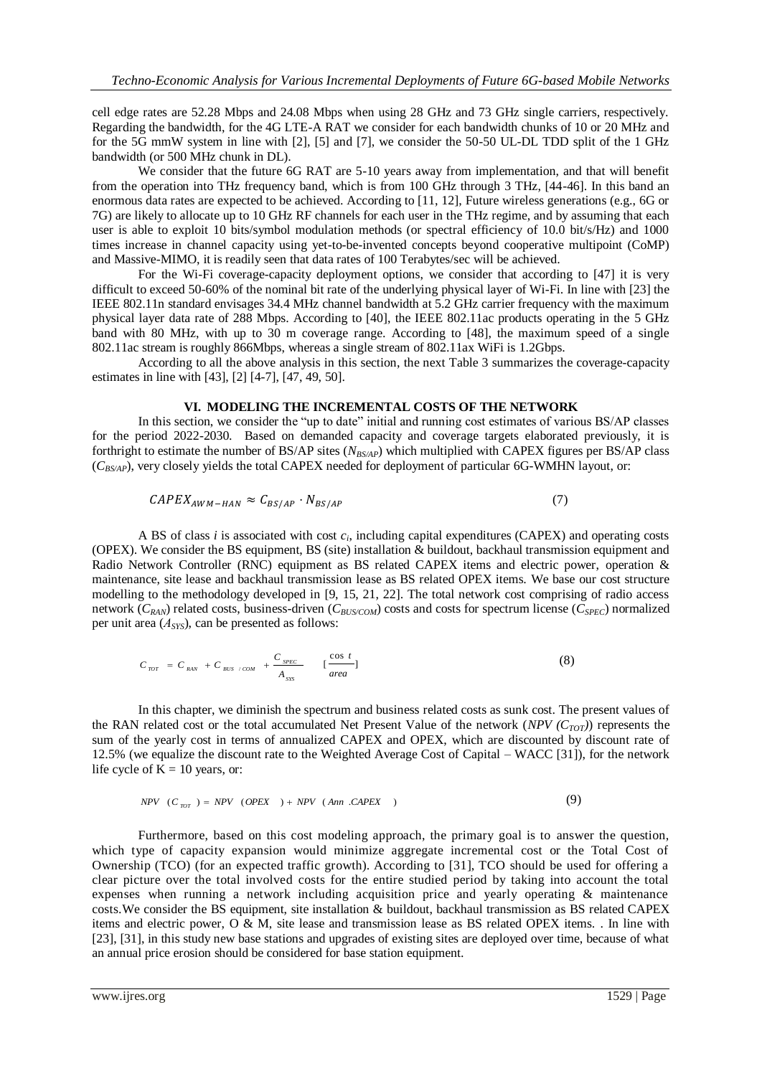cell edge rates are 52.28 Mbps and 24.08 Mbps when using 28 GHz and 73 GHz single carriers, respectively. Regarding the bandwidth, for the 4G LTE-A RAT we consider for each bandwidth chunks of 10 or 20 MHz and for the 5G mmW system in line with [2], [5] and [7], we consider the 50-50 UL-DL TDD split of the 1 GHz bandwidth (or 500 MHz chunk in DL).

We consider that the future 6G RAT are 5-10 years away from implementation, and that will benefit from the operation into THz frequency band, which is from 100 GHz through 3 THz, [44-46]. In this band an enormous data rates are expected to be achieved. According to [11, 12], Future wireless generations (e.g., 6G or 7G) are likely to allocate up to 10 GHz RF channels for each user in the THz regime, and by assuming that each user is able to exploit 10 bits/symbol modulation methods (or spectral efficiency of 10.0 bit/s/Hz) and 1000 times increase in channel capacity using yet-to-be-invented concepts beyond cooperative multipoint (CoMP) and Massive-MIMO, it is readily seen that data rates of 100 Terabytes/sec will be achieved.

For the Wi-Fi coverage-capacity deployment options, we consider that according to [47] it is very difficult to exceed 50-60% of the nominal bit rate of the underlying physical layer of Wi-Fi. In line with [23] the IEEE 802.11n standard envisages 34.4 MHz channel bandwidth at 5.2 GHz carrier frequency with the maximum physical layer data rate of 288 Mbps. According to [40], the IEEE 802.11ac products operating in the 5 GHz band with 80 MHz, with up to 30 m coverage range. According to [48], the maximum speed of a single 802.11ac stream is roughly 866Mbps, whereas a single stream of 802.11ax WiFi is 1.2Gbps.

According to all the above analysis in this section, the next Table 3 summarizes the coverage-capacity estimates in line with [43], [2] [4-7], [47, 49, 50].

#### **VI. MODELING THE INCREMENTAL COSTS OF THE NETWORK**

In this section, we consider the "up to date" initial and running cost estimates of various BS/AP classes for the period 2022-2030. Based on demanded capacity and coverage targets elaborated previously, it is forthright to estimate the number of BS/AP sites (*NBS/AP*) which multiplied with CAPEX figures per BS/AP class (*CBS/AP*), very closely yields the total CAPEX needed for deployment of particular 6G-WMHN layout, or:

$$
CAPEX_{AWM-HAN} \approx C_{BS/AP} \cdot N_{BS/AP} \tag{7}
$$

A BS of class *i* is associated with cost *c<sup>i</sup>* , including capital expenditures (CAPEX) and operating costs (OPEX). We consider the BS equipment, BS (site) installation & buildout, backhaul transmission equipment and Radio Network Controller (RNC) equipment as BS related CAPEX items and electric power, operation & maintenance, site lease and backhaul transmission lease as BS related OPEX items. We base our cost structure modelling to the methodology developed in [9, 15, 21, 22]. The total network cost comprising of radio access network (*CRAN*) related costs, business-driven (*CBUS/COM*) costs and costs for spectrum license (*CSPEC*) normalized per unit area (*АSYS*), can be presented as follows:

$$
C_{\text{TOT}} = C_{\text{RAN}} + C_{\text{BUS / COM}} + \frac{C_{\text{SPEC}}}{A_{\text{SYS}}} \qquad \left[\frac{\cos t}{\text{area}}\right] \tag{8}
$$

In this chapter, we diminish the spectrum and business related costs as sunk cost. The present values of the RAN related cost or the total accumulated Net Present Value of the network (*NPV (CTOT)*) represents the sum of the yearly cost in terms of annualized CAPEX and OPEX, which are discounted by discount rate of 12.5% (we equalize the discount rate to the Weighted Average Cost of Capital – WACC [31]), for the network life cycle of  $K = 10$  years, or:

$$
NPV (C_{TOT}) = NPV (OPEX) + NPV (Ann .CAPEX) \qquad (9)
$$

Furthermore, based on this cost modeling approach, the primary goal is to answer the question, which type of capacity expansion would minimize aggregate incremental cost or the Total Cost of Ownership (TCO) (for an expected traffic growth). According to [31], TCO should be used for offering a clear picture over the total involved costs for the entire studied period by taking into account the total expenses when running a network including acquisition price and yearly operating & maintenance costs.We consider the BS equipment, site installation & buildout, backhaul transmission as BS related CAPEX items and electric power, O & M, site lease and transmission lease as BS related OPEX items. . In line with [23], [31], in this study new base stations and upgrades of existing sites are deployed over time, because of what an annual price erosion should be considered for base station equipment.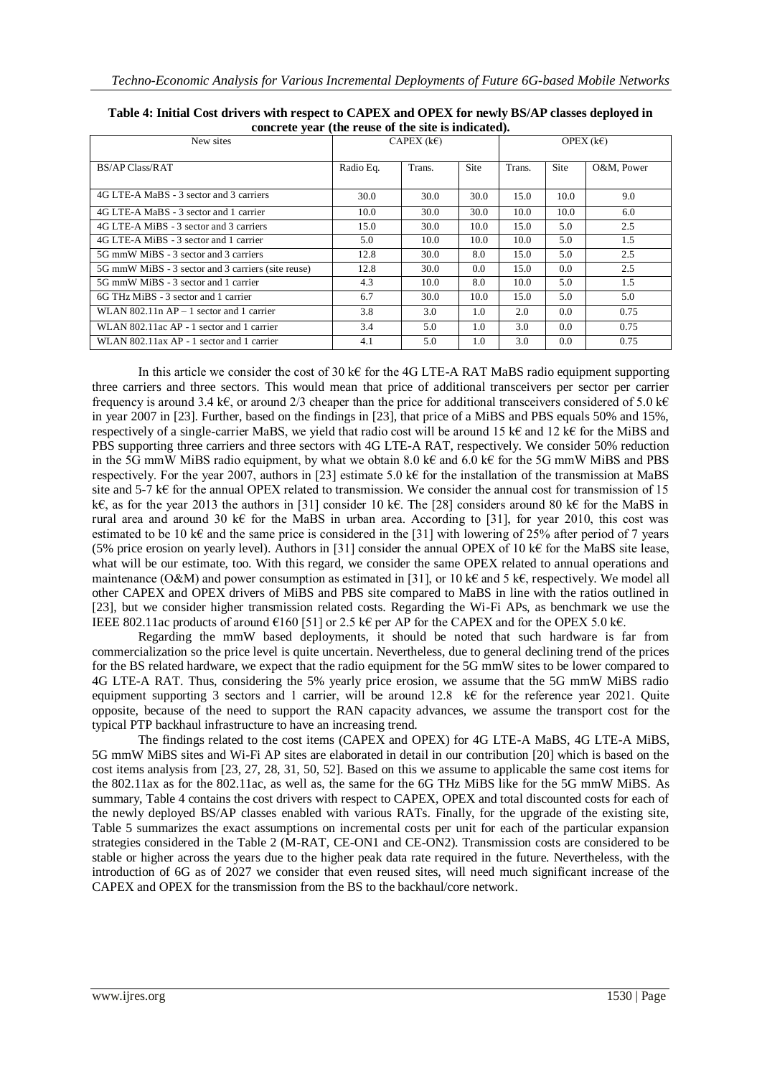| New sites                                          |           | CAPEX $(k \in)$ |      | OPEX $(k \in)$ |               |            |  |
|----------------------------------------------------|-----------|-----------------|------|----------------|---------------|------------|--|
| BS/AP Class/RAT                                    | Radio Eq. | Trans.          | Site | Trans.         | <b>Site</b>   | O&M, Power |  |
| 4G LTE-A MaBS - 3 sector and 3 carriers            | 30.0      | 30.0            | 30.0 | 15.0           | 10.0          | 9.0        |  |
| 4G LTE-A MaBS - 3 sector and 1 carrier             | 10.0      | 30.0            | 30.0 | 10.0           | 10.0          | 6.0        |  |
| 4G LTE-A MiBS - 3 sector and 3 carriers            | 15.0      | 30.0            | 10.0 | 15.0           | 5.0           | 2.5        |  |
| 4G LTE-A MiBS - 3 sector and 1 carrier             | 5.0       | 10.0            | 10.0 | 10.0           | 5.0           | 1.5        |  |
| 5G mmW MiBS - 3 sector and 3 carriers              | 12.8      | 30.0            | 8.0  | 15.0           | 5.0           | 2.5        |  |
| 5G mmW MiBS - 3 sector and 3 carriers (site reuse) | 12.8      | 30.0            | 0.0  | 15.0           | 0.0           | 2.5        |  |
| 5G mmW MiBS - 3 sector and 1 carrier               | 4.3       | 10.0            | 8.0  | 10.0           | 5.0           | 1.5        |  |
| 6G THz MiBS - 3 sector and 1 carrier               | 6.7       | 30.0            | 10.0 | 15.0           | 5.0           | 5.0        |  |
| WLAN 802.11n $AP - 1$ sector and 1 carrier         | 3.8       | 3.0             | 1.0  | 2.0            | $0.0^{\circ}$ | 0.75       |  |
| WLAN 802.11ac AP - 1 sector and 1 carrier          | 3.4       | 5.0             | 1.0  | 3.0            | 0.0           | 0.75       |  |
| WLAN 802.11ax AP - 1 sector and 1 carrier          | 4.1       | 5.0             | 1.0  | 3.0            | 0.0           | 0.75       |  |

| Table 4: Initial Cost drivers with respect to CAPEX and OPEX for newly BS/AP classes deployed in |
|--------------------------------------------------------------------------------------------------|
| concrete year (the reuse of the site is indicated).                                              |

In this article we consider the cost of 30 k€ for the 4G LTE-A RAT MaBS radio equipment supporting three carriers and three sectors. This would mean that price of additional transceivers per sector per carrier frequency is around 3.4 k€, or around 2/3 cheaper than the price for additional transceivers considered of 5.0 k€ in year 2007 in [23]. Further, based on the findings in [23], that price of a MiBS and PBS equals 50% and 15%, respectively of a single-carrier MaBS, we yield that radio cost will be around 15 k€ and 12 k€ for the MiBS and PBS supporting three carriers and three sectors with 4G LTE-A RAT, respectively. We consider 50% reduction in the 5G mmW MiBS radio equipment, by what we obtain 8.0 k€ and 6.0 k€ for the 5G mmW MiBS and PBS respectively. For the year 2007, authors in [23] estimate 5.0 k€ for the installation of the transmission at MaBS site and 5-7 k€ for the annual OPEX related to transmission. We consider the annual cost for transmission of 15 k€, as for the year 2013 the authors in [31] consider 10 k€. The [28] considers around 80 k€ for the MaBS in rural area and around 30 k€ for the MaBS in urban area. According to [31], for year 2010, this cost was estimated to be 10 k€ and the same price is considered in the [31] with lowering of 25% after period of 7 years (5% price erosion on yearly level). Authors in [31] consider the annual OPEX of 10 k€ for the MaBS site lease, what will be our estimate, too. With this regard, we consider the same OPEX related to annual operations and maintenance (O&M) and power consumption as estimated in [31], or 10 k€ and 5 k€, respectively. We model all other CAPEX and OPEX drivers of MiBS and PBS site compared to MaBS in line with the ratios outlined in [23], but we consider higher transmission related costs. Regarding the Wi-Fi APs, as benchmark we use the IEEE 802.11ac products of around  $€160$  [51] or 2.5 k€ per AP for the CAPEX and for the OPEX 5.0 k€.

Regarding the mmW based deployments, it should be noted that such hardware is far from commercialization so the price level is quite uncertain. Nevertheless, due to general declining trend of the prices for the BS related hardware, we expect that the radio equipment for the 5G mmW sites to be lower compared to 4G LTE-A RAT. Thus, considering the 5% yearly price erosion, we assume that the 5G mmW MiBS radio equipment supporting 3 sectors and 1 carrier, will be around 12.8 k€ for the reference year 2021. Quite opposite, because of the need to support the RAN capacity advances, we assume the transport cost for the typical PTP backhaul infrastructure to have an increasing trend.

The findings related to the cost items (CAPEX and OPEX) for 4G LTE-A MaBS, 4G LTE-A MiBS, 5G mmW MiBS sites and Wi-Fi AP sites are elaborated in detail in our contribution [20] which is based on the cost items analysis from [23, 27, 28, 31, 50, 52]. Based on this we assume to applicable the same cost items for the 802.11ax as for the 802.11ac, as well as, the same for the 6G THz MiBS like for the 5G mmW MiBS. As summary, Table 4 contains the cost drivers with respect to CAPEX, OPEX and total discounted costs for each of the newly deployed BS/AP classes enabled with various RATs. Finally, for the upgrade of the existing site, Table 5 summarizes the exact assumptions on incremental costs per unit for each of the particular expansion strategies considered in the Table 2 (M-RAT, CE-ON1 and CE-ON2). Transmission costs are considered to be stable or higher across the years due to the higher peak data rate required in the future. Nevertheless, with the introduction of 6G as of 2027 we consider that even reused sites, will need much significant increase of the CAPEX and OPEX for the transmission from the BS to the backhaul/core network.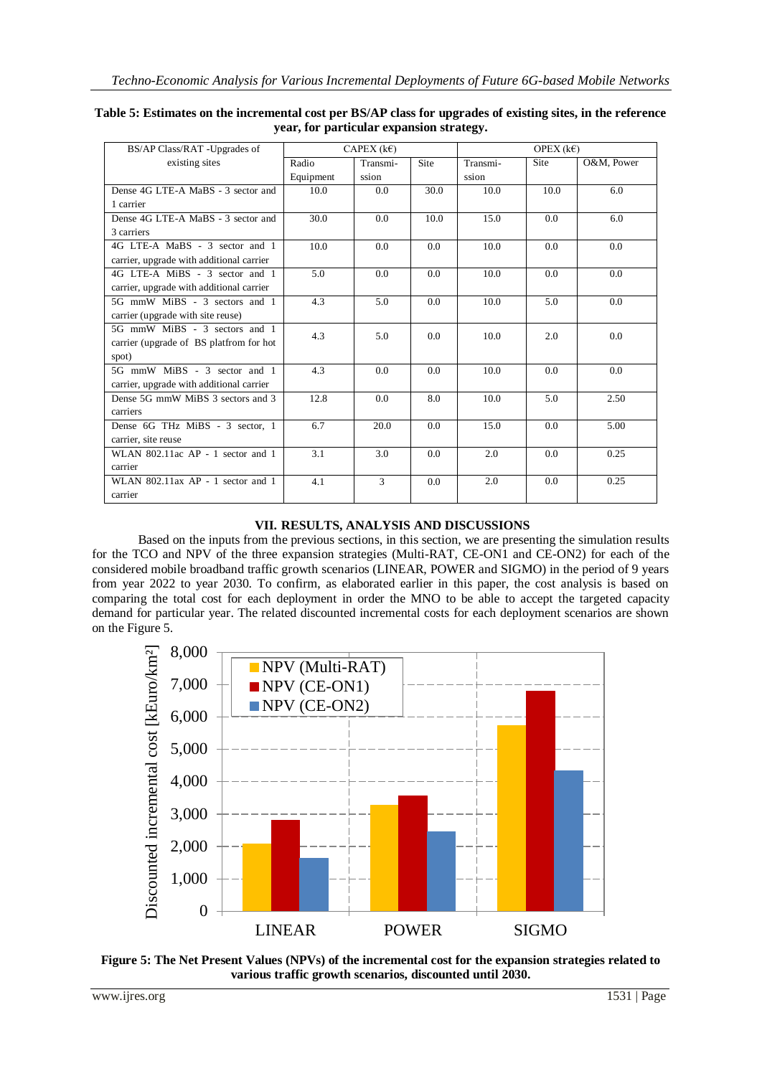| BS/AP Class/RAT -Upgrades of             |           | CAPEX $(k \in)$ |             |          | OPEX $(k \in)$ |            |
|------------------------------------------|-----------|-----------------|-------------|----------|----------------|------------|
| existing sites                           | Radio     | Transmi-        | <b>Site</b> | Transmi- | Site           | O&M, Power |
|                                          | Equipment | ssion           |             | ssion    |                |            |
| Dense 4G LTE-A MaBS - 3 sector and       | 10.0      | 0.0             | 30.0        | 10.0     | 10.0           | 6.0        |
| 1 carrier                                |           |                 |             |          |                |            |
| Dense 4G LTE-A MaBS - 3 sector and       | 30.0      | 0.0             | 10.0        | 15.0     | 0.0            | 6.0        |
| 3 carriers                               |           |                 |             |          |                |            |
| 4G LTE-A MaBS - 3 sector and 1           | 10.0      | 0.0             | 0.0         | 10.0     | 0.0            | 0.0        |
| carrier, upgrade with additional carrier |           |                 |             |          |                |            |
| 4G LTE-A MiBS - 3 sector and 1           | 5.0       | 0.0             | 0.0         | 10.0     | 0.0            | 0.0        |
| carrier, upgrade with additional carrier |           |                 |             |          |                |            |
| 5G mmW MiBS - 3 sectors and 1            | 4.3       | 5.0             | 0.0         | 10.0     | 5.0            | 0.0        |
| carrier (upgrade with site reuse)        |           |                 |             |          |                |            |
| 5G mmW MiBS - 3 sectors and 1            | 4.3       | 5.0             | 0.0         | 10.0     | 2.0            | 0.0        |
| carrier (upgrade of BS platfrom for hot  |           |                 |             |          |                |            |
| spot)                                    |           |                 |             |          |                |            |
| 5G mmW MiBS - 3 sector and 1             | 4.3       | 0.0             | 0.0         | 10.0     | 0.0            | 0.0        |
| carrier, upgrade with additional carrier |           |                 |             |          |                |            |
| Dense 5G mmW MiBS 3 sectors and 3        | 12.8      | 0.0             | 8.0         | 10.0     | 5.0            | 2.50       |
| carriers                                 |           |                 |             |          |                |            |
| Dense 6G THz MiBS - 3 sector, 1          | 6.7       | 20.0            | 0.0         | 15.0     | 0.0            | 5.00       |
| carrier, site reuse                      |           |                 |             |          |                |            |
| WLAN 802.11ac AP - 1 sector and 1        | 3.1       | 3.0             | 0.0         | 2.0      | 0.0            | 0.25       |
| carrier                                  |           |                 |             |          |                |            |
| WLAN 802.11ax AP - 1 sector and 1        | 4.1       | $\mathcal{R}$   | 0.0         | 2.0      | 0.0            | 0.25       |
| carrier                                  |           |                 |             |          |                |            |

| Table 5: Estimates on the incremental cost per BS/AP class for upgrades of existing sites, in the reference |
|-------------------------------------------------------------------------------------------------------------|
| year, for particular expansion strategy.                                                                    |

# **VII. RESULTS, ANALYSIS AND DISCUSSIONS**

Based on the inputs from the previous sections, in this section, we are presenting the simulation results for the TCO and NPV of the three expansion strategies (Multi-RAT, CE-ON1 and CE-ON2) for each of the considered mobile broadband traffic growth scenarios (LINEAR, POWER and SIGMO) in the period of 9 years from year 2022 to year 2030. To confirm, as elaborated earlier in this paper, the cost analysis is based on comparing the total cost for each deployment in order the MNO to be able to accept the targeted capacity demand for particular year. The related discounted incremental costs for each deployment scenarios are shown on the Figure 5.



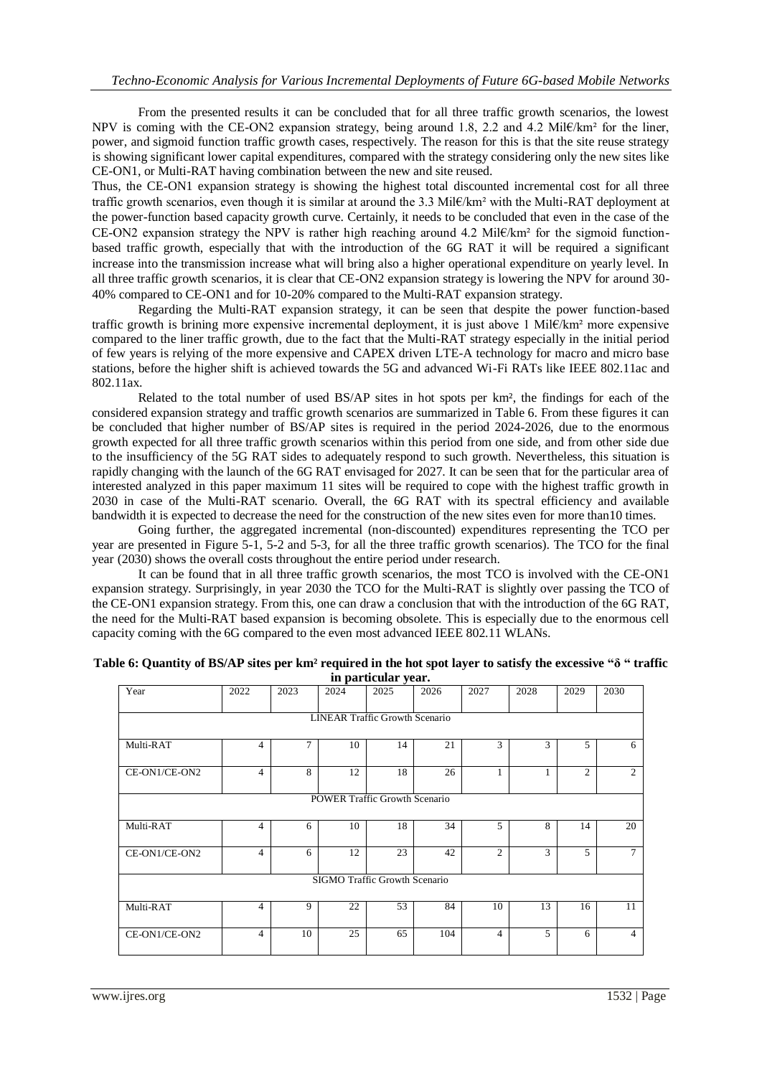From the presented results it can be concluded that for all three traffic growth scenarios, the lowest NPV is coming with the CE-ON2 expansion strategy, being around 1.8, 2.2 and 4.2 Mil€/km<sup>2</sup> for the liner, power, and sigmoid function traffic growth cases, respectively. The reason for this is that the site reuse strategy is showing significant lower capital expenditures, compared with the strategy considering only the new sites like CE-ON1, or Multi-RAT having combination between the new and site reused.

Thus, the CE-ON1 expansion strategy is showing the highest total discounted incremental cost for all three traffic growth scenarios, even though it is similar at around the 3.3 Mil€/km² with the Multi-RAT deployment at the power-function based capacity growth curve. Certainly, it needs to be concluded that even in the case of the CE-ON2 expansion strategy the NPV is rather high reaching around 4.2 Mil $\epsilon/km^2$  for the sigmoid functionbased traffic growth, especially that with the introduction of the 6G RAT it will be required a significant increase into the transmission increase what will bring also a higher operational expenditure on yearly level. In all three traffic growth scenarios, it is clear that CE-ON2 expansion strategy is lowering the NPV for around 30- 40% compared to CE-ON1 and for 10-20% compared to the Multi-RAT expansion strategy.

Regarding the Multi-RAT expansion strategy, it can be seen that despite the power function-based traffic growth is brining more expensive incremental deployment, it is just above 1 Mil€/km² more expensive compared to the liner traffic growth, due to the fact that the Multi-RAT strategy especially in the initial period of few years is relying of the more expensive and CAPEX driven LTE-A technology for macro and micro base stations, before the higher shift is achieved towards the 5G and advanced Wi-Fi RATs like IEEE 802.11ac and 802.11ax.

Related to the total number of used BS/AP sites in hot spots per km², the findings for each of the considered expansion strategy and traffic growth scenarios are summarized in Table 6. From these figures it can be concluded that higher number of BS/AP sites is required in the period 2024-2026, due to the enormous growth expected for all three traffic growth scenarios within this period from one side, and from other side due to the insufficiency of the 5G RAT sides to adequately respond to such growth. Nevertheless, this situation is rapidly changing with the launch of the 6G RAT envisaged for 2027. It can be seen that for the particular area of interested analyzed in this paper maximum 11 sites will be required to cope with the highest traffic growth in 2030 in case of the Multi-RAT scenario. Overall, the 6G RAT with its spectral efficiency and available bandwidth it is expected to decrease the need for the construction of the new sites even for more than10 times.

Going further, the aggregated incremental (non-discounted) expenditures representing the TCO per year are presented in Figure 5-1, 5-2 and 5-3, for all the three traffic growth scenarios). The TCO for the final year (2030) shows the overall costs throughout the entire period under research.

It can be found that in all three traffic growth scenarios, the most TCO is involved with the CE-ON1 expansion strategy. Surprisingly, in year 2030 the TCO for the Multi-RAT is slightly over passing the TCO of the CE-ON1 expansion strategy. From this, one can draw a conclusion that with the introduction of the 6G RAT, the need for the Multi-RAT based expansion is becoming obsolete. This is especially due to the enormous cell capacity coming with the 6G compared to the even most advanced IEEE 802.11 WLANs.

| Year                                  | 2022           | 2023           | 2024 | 2025 | 2026 | 2027           | 2028 | 2029           | 2030           |
|---------------------------------------|----------------|----------------|------|------|------|----------------|------|----------------|----------------|
| <b>LINEAR Traffic Growth Scenario</b> |                |                |      |      |      |                |      |                |                |
| Multi-RAT                             | $\overline{4}$ | $\overline{7}$ | 10   | 14   | 21   | 3              | 3    | 5              | 6              |
| CE-ON1/CE-ON2                         | $\overline{4}$ | 8              | 12   | 18   | 26   | 1              |      | $\overline{2}$ | $\overline{2}$ |
| <b>POWER Traffic Growth Scenario</b>  |                |                |      |      |      |                |      |                |                |
| Multi-RAT                             | $\overline{4}$ | 6              | 10   | 18   | 34   | 5              | 8    | 14             | 20             |
| CE-ON1/CE-ON2                         | $\overline{4}$ | 6              | 12   | 23   | 42   | 2              | 3    | 5              | $\tau$         |
| SIGMO Traffic Growth Scenario         |                |                |      |      |      |                |      |                |                |
| Multi-RAT                             | $\overline{4}$ | 9              | 22   | 53   | 84   | 10             | 13   | 16             | 11             |
| CE-ON1/CE-ON2                         | $\overline{4}$ | 10             | 25   | 65   | 104  | $\overline{4}$ | 5    | 6              | 4              |

| Table 6: Quantity of BS/AP sites per km <sup>2</sup> required in the hot spot layer to satisfy the excessive " $\delta$ " traffic |
|-----------------------------------------------------------------------------------------------------------------------------------|
| in particular year.                                                                                                               |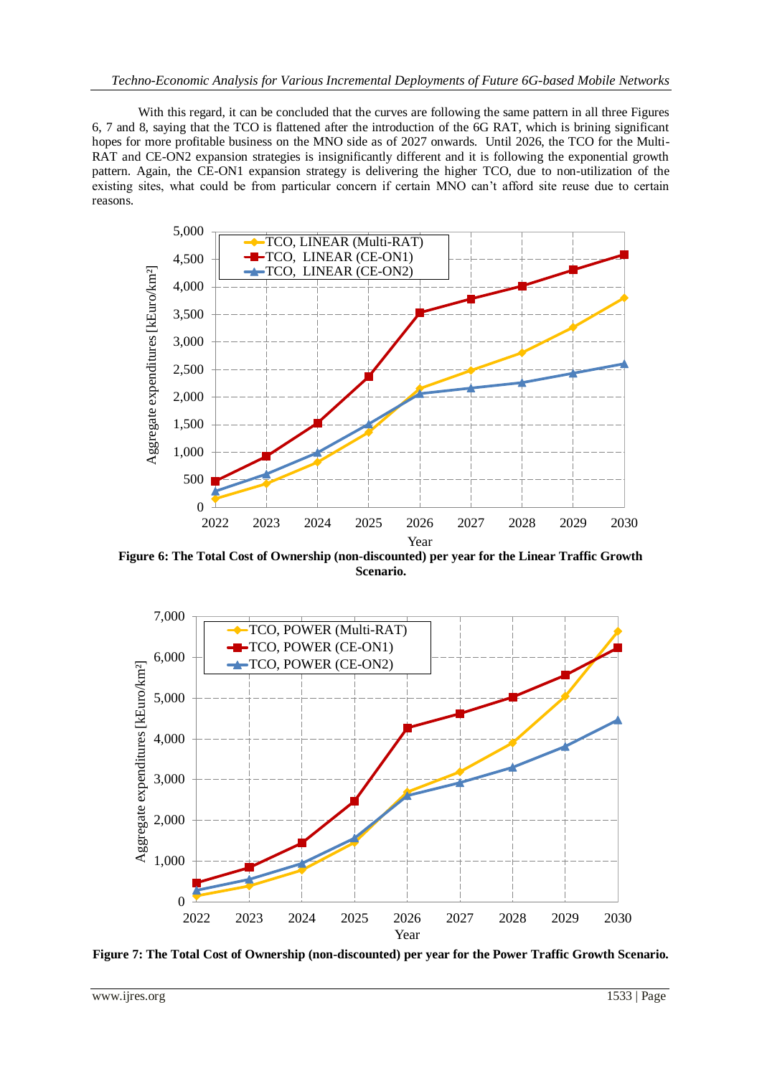With this regard, it can be concluded that the curves are following the same pattern in all three Figures 6, 7 and 8, saying that the TCO is flattened after the introduction of the 6G RAT, which is brining significant hopes for more profitable business on the MNO side as of 2027 onwards. Until 2026, the TCO for the Multi-RAT and CE-ON2 expansion strategies is insignificantly different and it is following the exponential growth pattern. Again, the CE-ON1 expansion strategy is delivering the higher TCO, due to non-utilization of the existing sites, what could be from particular concern if certain MNO can't afford site reuse due to certain reasons.



**Figure 6: The Total Cost of Ownership (non-discounted) per year for the Linear Traffic Growth Scenario.**



**Figure 7: The Total Cost of Ownership (non-discounted) per year for the Power Traffic Growth Scenario.**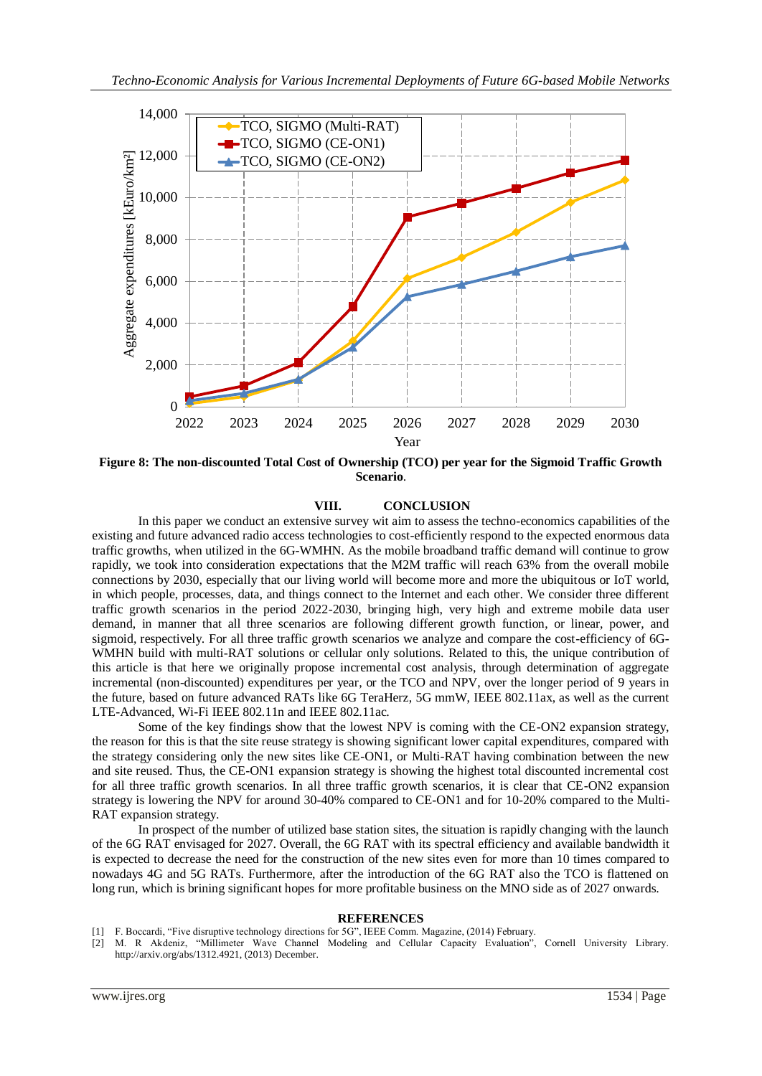

**Figure 8: The non-discounted Total Cost of Ownership (TCO) per year for the Sigmoid Traffic Growth Scenario**.

#### **VIII. CONCLUSION**

In this paper we conduct an extensive survey wit aim to assess the techno-economics capabilities of the existing and future advanced radio access technologies to cost-efficiently respond to the expected enormous data traffic growths, when utilized in the 6G-WMHN. As the mobile broadband traffic demand will continue to grow rapidly, we took into consideration expectations that the M2M traffic will reach 63% from the overall mobile connections by 2030, especially that our living world will become more and more the ubiquitous or IoT world, in which people, processes, data, and things connect to the Internet and each other. We consider three different traffic growth scenarios in the period 2022-2030, bringing high, very high and extreme mobile data user demand, in manner that all three scenarios are following different growth function, or linear, power, and sigmoid, respectively. For all three traffic growth scenarios we analyze and compare the cost-efficiency of 6G-WMHN build with multi-RAT solutions or cellular only solutions. Related to this, the unique contribution of this article is that here we originally propose incremental cost analysis, through determination of aggregate incremental (non-discounted) expenditures per year, or the TCO and NPV, over the longer period of 9 years in the future, based on future advanced RATs like 6G TeraHerz, 5G mmW, IEEE 802.11ax, as well as the current LTE-Advanced, Wi-Fi IEEE 802.11n and IEEE 802.11ac.

Some of the key findings show that the lowest NPV is coming with the CE-ON2 expansion strategy, the reason for this is that the site reuse strategy is showing significant lower capital expenditures, compared with the strategy considering only the new sites like CE-ON1, or Multi-RAT having combination between the new and site reused. Thus, the CE-ON1 expansion strategy is showing the highest total discounted incremental cost for all three traffic growth scenarios. In all three traffic growth scenarios, it is clear that CE-ON2 expansion strategy is lowering the NPV for around 30-40% compared to CE-ON1 and for 10-20% compared to the Multi-RAT expansion strategy.

In prospect of the number of utilized base station sites, the situation is rapidly changing with the launch of the 6G RAT envisaged for 2027. Overall, the 6G RAT with its spectral efficiency and available bandwidth it is expected to decrease the need for the construction of the new sites even for more than 10 times compared to nowadays 4G and 5G RATs. Furthermore, after the introduction of the 6G RAT also the TCO is flattened on long run, which is brining significant hopes for more profitable business on the MNO side as of 2027 onwards.

#### **REFERENCES**

- [1] F. Boccardi, "Five disruptive technology directions for 5G", IEEE Comm. Magazine, (2014) February.
- [2] M. R Akdeniz, "Millimeter Wave Channel Modeling and Cellular Capacity Evaluation", Cornell University Library. http://arxiv.org/abs/1312.4921, (2013) December.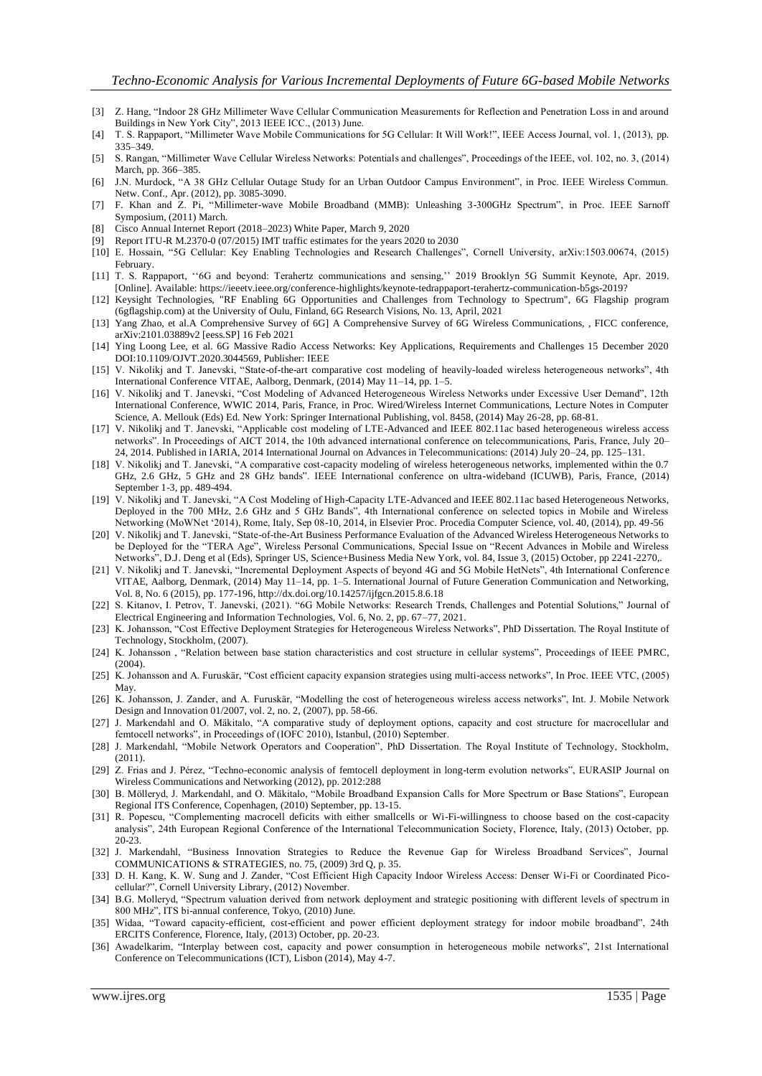- [3] Z. Hang, "Indoor 28 GHz Millimeter Wave Cellular Communication Measurements for Reflection and Penetration Loss in and around Buildings in New York City", 2013 IEEE ICC., (2013) June.
- [4] T. S. Rappaport, "Millimeter Wave Mobile Communications for 5G Cellular: It Will Work!", IEEE Access Journal, vol. 1, (2013), pp. 335–349.
- [5] S. Rangan, "Millimeter Wave Cellular Wireless Networks: Potentials and challenges", Proceedings of the IEEE, vol. 102, no. 3, (2014) March, pp. 366–385.
- [6] J.N. Murdock, "A 38 GHz Cellular Outage Study for an Urban Outdoor Campus Environment", in Proc. IEEE Wireless Commun. Netw. Conf., Apr. (2012), pp. 3085-3090.
- [7] F. Khan and Z. Pi, "Millimeter-wave Mobile Broadband (MMB): Unleashing 3-300GHz Spectrum", in Proc. IEEE Sarnoff Symposium, (2011) March.
- [8] Cisco Annual Internet Report (2018–2023) White Paper, March 9, 2020
- Report ITU-R M.2370-0 (07/2015) IMT traffic estimates for the years 2020 to 2030
- [10] E. Hossain, "5G Cellular: Key Enabling Technologies and Research Challenges", Cornell University, arXiv:1503.00674, (2015) February.
- [11] T. S. Rappaport, ''6G and beyond: Terahertz communications and sensing,'' 2019 Brooklyn 5G Summit Keynote, Apr. 2019. [Online]. Available: https://ieeetv.ieee.org/conference-highlights/keynote-tedrappaport-terahertz-communication-b5gs-2019?
- [12] Keysight Technologies, "RF Enabling 6G Opportunities and Challenges from Technology to Spectrum", 6G Flagship program (6gflagship.com) at the University of Oulu, Finland, 6G Research Visions, No. 13, April, 2021
- [13] Yang Zhao, et al.A Comprehensive Survey of 6G] A Comprehensive Survey of 6G Wireless Communications, , FICC conference, arXiv:2101.03889v2 [eess.SP] 16 Feb 2021
- [14] Ying Loong Lee, et al. 6G Massive Radio Access Networks: Key Applications, Requirements and Challenges 15 December 2020 DOI:10.1109/OJVT.2020.3044569, Publisher: IEEE
- [15] V. Nikolikj and T. Janevski, "State-of-the-art comparative cost modeling of heavily-loaded wireless heterogeneous networks", 4th International Conference VITAE, Aalborg, Denmark, (2014) May 11–14, pp. 1–5.
- [16] V. Nikolikj and T. Janevski, "Cost Modeling of Advanced Heterogeneous Wireless Networks under Excessive User Demand", 12th International Conference, WWIC 2014, Paris, France, in Proc. Wired/Wireless Internet Communications, Lecture Notes in Computer Science, A. Mellouk (Eds) Ed. New York: Springer International Publishing, vol. 8458, (2014) May 26-28, pp. 68-81.
- [17] V. Nikolikj and T. Janevski, "Applicable cost modeling of LTE-Advanced and IEEE 802.11ac based heterogeneous wireless access networks". In Proceedings of AICT 2014, the 10th advanced international conference on telecommunications, Paris, France, July 20– 24, 2014. Published in IARIA, 2014 International Journal on Advances in Telecommunications: (2014) July 20–24, pp. 125–131.
- [18] V. Nikolikj and T. Janevski, "A comparative cost-capacity modeling of wireless heterogeneous networks, implemented within the 0.7 GHz, 2.6 GHz, 5 GHz and 28 GHz bands". IEEE International conference on ultra-wideband (ICUWB), Paris, France, (2014) September 1-3, pp. 489-494.
- [19] V. Nikolikj and T. Janevski, "A Cost Modeling of High-Capacity LTE-Advanced and IEEE 802.11ac based Heterogeneous Networks, Deployed in the 700 MHz, 2.6 GHz and 5 GHz Bands", 4th International conference on selected topics in Mobile and Wireless Networking (MoWNet '2014), Rome, Italy, Sep 08-10, 2014, in Elsevier Proc. Procedia Computer Science, vol. 40, (2014), pp. 49-56
- [20] V. Nikolikj and T. Janevski, "State-of-the-Art Business Performance Evaluation of the Advanced Wireless Heterogeneous Networks to be Deployed for the "TERA Age", Wireless Personal Communications, Special Issue on "Recent Advances in Mobile and Wireless Networks", D.J. Deng et al (Eds), Springer US, Science+Business Media New York, vol. 84, Issue 3, (2015) October, pp 2241-2270,.
- [21] V. Nikolikj and T. Janevski, "Incremental Deployment Aspects of beyond 4G and 5G Mobile HetNets", 4th International Conference VITAE, Aalborg, Denmark, (2014) May 11–14, pp. 1–5. International Journal of Future Generation Communication and Networking, Vol. 8, No. 6 (2015), pp. 177-196, http://dx.doi.org/10.14257/ijfgcn.2015.8.6.18
- [22] S. Kitanov, I. Petrov, T. Janevski, (2021). "6G Mobile Networks: Research Trends, Challenges and Potential Solutions," Journal of Electrical Engineering and Information Technologies, Vol. 6, No. 2, pp. 67–77, 2021.
- [23] K. Johansson, "Cost Effective Deployment Strategies for Heterogeneous Wireless Networks", PhD Dissertation. The Royal Institute of Technology, Stockholm, (2007).
- [24] K. Johansson , "Relation between base station characteristics and cost structure in cellular systems", Proceedings of IEEE PMRC, (2004).
- [25] K. Johansson and A. Furuskär, "Cost efficient capacity expansion strategies using multi-access networks", In Proc. IEEE VTC, (2005) May.
- [26] K. Johansson, J. Zander, and A. Furuskär, "Modelling the cost of heterogeneous wireless access networks", Int. J. Mobile Network Design and Innovation 01/2007, vol. 2, no. 2, (2007), pp. 58-66.
- [27] J. Markendahl and O. Mäkitalo, "A comparative study of deployment options, capacity and cost structure for macrocellular and femtocell networks", in Proceedings of (IOFC 2010), Istanbul, (2010) September.
- [28] J. Markendahl, "Mobile Network Operators and Cooperation", PhD Dissertation. The Royal Institute of Technology, Stockholm, (2011).
- [29] Z. Frias and J. Pérez, "Techno-economic analysis of femtocell deployment in long-term evolution networks", EURASIP Journal on Wireless Communications and Networking (2012), pp. 2012:288
- [30] B. Mölleryd, J. Markendahl, and O. Mäkitalo, "Mobile Broadband Expansion Calls for More Spectrum or Base Stations", European Regional ITS Conference, Copenhagen, (2010) September, pp. 13-15.
- [31] R. Popescu, "Complementing macrocell deficits with either smallcells or Wi-Fi-willingness to choose based on the cost-capacity analysis", 24th European Regional Conference of the International Telecommunication Society, Florence, Italy, (2013) October, pp. 20-23.
- [32] J. Markendahl, "Business Innovation Strategies to Reduce the Revenue Gap for Wireless Broadband Services", Journal COMMUNICATIONS & STRATEGIES, no. 75, (2009) 3rd Q, p. 35.
- [33] D. H. Kang, K. W. Sung and J. Zander, "Cost Efficient High Capacity Indoor Wireless Access: Denser Wi-Fi or Coordinated Picocellular?", Cornell University Library, (2012) November.
- [34] B.G. Molleryd, "Spectrum valuation derived from network deployment and strategic positioning with different levels of spectrum in 800 MHz", ITS bi-annual conference, Tokyo, (2010) June.
- [35] Widaa, "Toward capacity-efficient, cost-efficient and power efficient deployment strategy for indoor mobile broadband", 24th ERCITS Conference, Florence, Italy, (2013) October, pp. 20-23.
- [36] Awadelkarim, "Interplay between cost, capacity and power consumption in heterogeneous mobile networks", 21st International Conference on Telecommunications (ICT), Lisbon (2014), May 4-7.